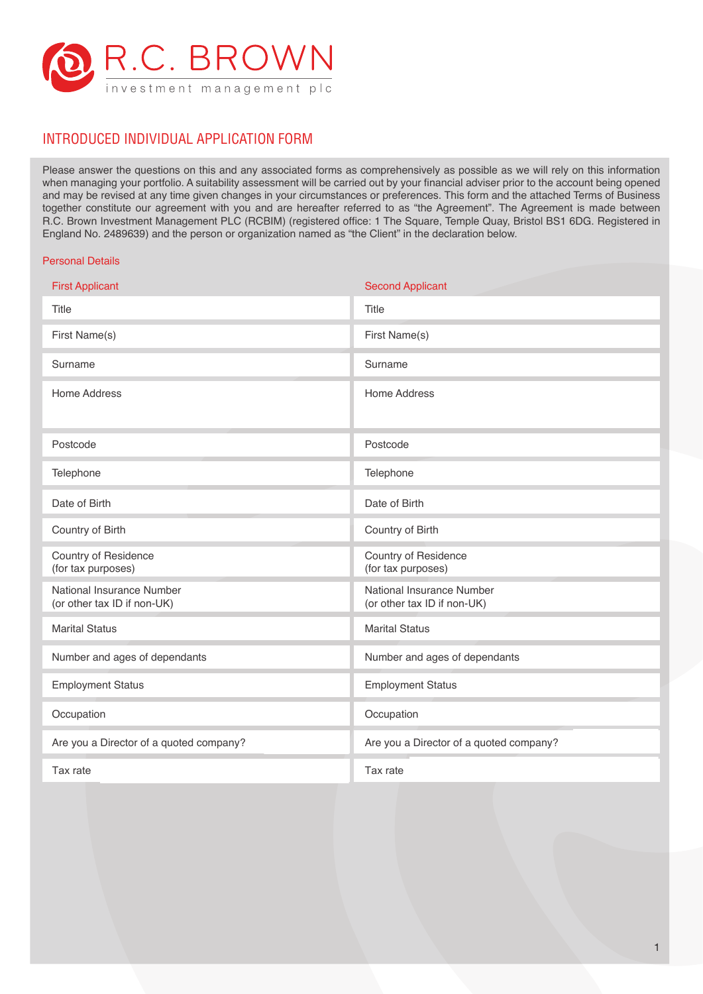

# INTRODUCED INDIVIDUAL APPLICATION FORM

Please answer the questions on this and any associated forms as comprehensively as possible as we will rely on this information when managing your portfolio. A suitability assessment will be carried out by your financial adviser prior to the account being opened and may be revised at any time given changes in your circumstances or preferences. This form and the attached Terms of Business together constitute our agreement with you and are hereafter referred to as "the Agreement". The Agreement is made between R.C. Brown Investment Management PLC (RCBIM) (registered office: 1 The Square, Temple Quay, Bristol BS1 6DG. Registered in England No. 2489639) and the person or organization named as "the Client" in the declaration below.

## Personal Details

| <b>First Applicant</b>                                   | <b>Second Applicant</b>                                  |
|----------------------------------------------------------|----------------------------------------------------------|
| Title                                                    | Title                                                    |
| First Name(s)                                            | First Name(s)                                            |
| Surname                                                  | Surname                                                  |
| <b>Home Address</b>                                      | <b>Home Address</b>                                      |
| Postcode                                                 | Postcode                                                 |
| Telephone                                                | Telephone                                                |
| Date of Birth                                            | Date of Birth                                            |
| Country of Birth                                         | Country of Birth                                         |
| Country of Residence<br>(for tax purposes)               | <b>Country of Residence</b><br>(for tax purposes)        |
| National Insurance Number<br>(or other tax ID if non-UK) | National Insurance Number<br>(or other tax ID if non-UK) |
| <b>Marital Status</b>                                    | <b>Marital Status</b>                                    |
| Number and ages of dependants                            | Number and ages of dependants                            |
| <b>Employment Status</b>                                 | <b>Employment Status</b>                                 |
| Occupation                                               | Occupation                                               |
| Are you a Director of a quoted company?                  | Are you a Director of a quoted company?                  |
| Tax rate                                                 | Tax rate                                                 |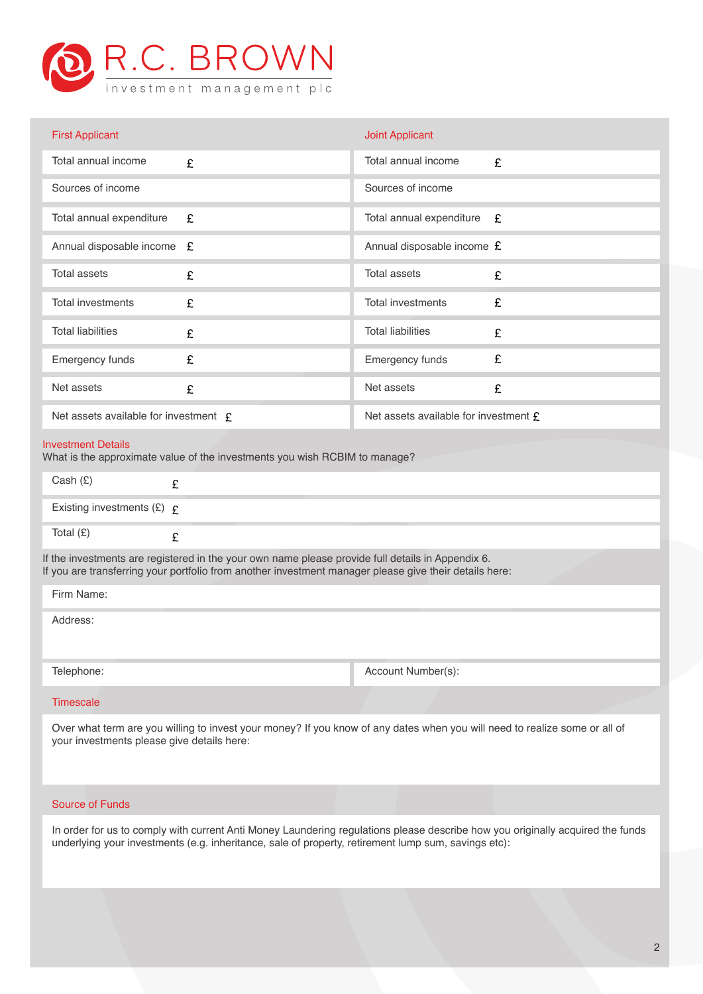

| <b>First Applicant</b>                                                                                  |   | <b>Joint Applicant</b>                  |      |
|---------------------------------------------------------------------------------------------------------|---|-----------------------------------------|------|
| Total annual income                                                                                     | £ | Total annual income                     | £    |
| Sources of income                                                                                       |   | Sources of income                       |      |
| Total annual expenditure                                                                                | £ | Total annual expenditure                | $-F$ |
| Annual disposable income £                                                                              |   | Annual disposable income £              |      |
| <b>Total assets</b>                                                                                     | £ | Total assets                            | £    |
| <b>Total investments</b>                                                                                | £ | <b>Total investments</b>                | £    |
| <b>Total liabilities</b>                                                                                | £ | <b>Total liabilities</b>                | £    |
| Emergency funds                                                                                         | £ | Emergency funds                         | £    |
| Net assets                                                                                              | £ | Net assets                              | £    |
| Net assets available for investment $E$                                                                 |   | Net assets available for investment $f$ |      |
| <b>Investment Details</b><br>What is the approximate value of the investments you wish RCBIM to manage? |   |                                         |      |

| Cash $(E)$                     |                                                                                                                 |                                                                                 |                                                                                                                 |  |
|--------------------------------|-----------------------------------------------------------------------------------------------------------------|---------------------------------------------------------------------------------|-----------------------------------------------------------------------------------------------------------------|--|
| Existing investments $(E)$ $E$ |                                                                                                                 |                                                                                 |                                                                                                                 |  |
| Total $(E)$                    |                                                                                                                 |                                                                                 |                                                                                                                 |  |
|                                | the contract of the contract of the contract of the contract of the contract of the contract of the contract of | the contract of the contract of the contract of the contract of the contract of | the contract of the contract of the contract of the contract of the contract of the contract of the contract of |  |

If the investments are registered in the your own name please provide full details in Appendix 6. If you are transferring your portfolio from another investment manager please give their details here:

| Firm Name: |                    |  |
|------------|--------------------|--|
| Address:   |                    |  |
| Telephone: | Account Number(s): |  |
|            |                    |  |

# **Timescale**

Over what term are you willing to invest your money? If you know of any dates when you will need to realize some or all of your investments please give details here:

# Source of Funds

 In order for us to comply with current Anti Money Laundering regulations please describe how you originally acquired the funds underlying your investments (e.g. inheritance, sale of property, retirement lump sum, savings etc):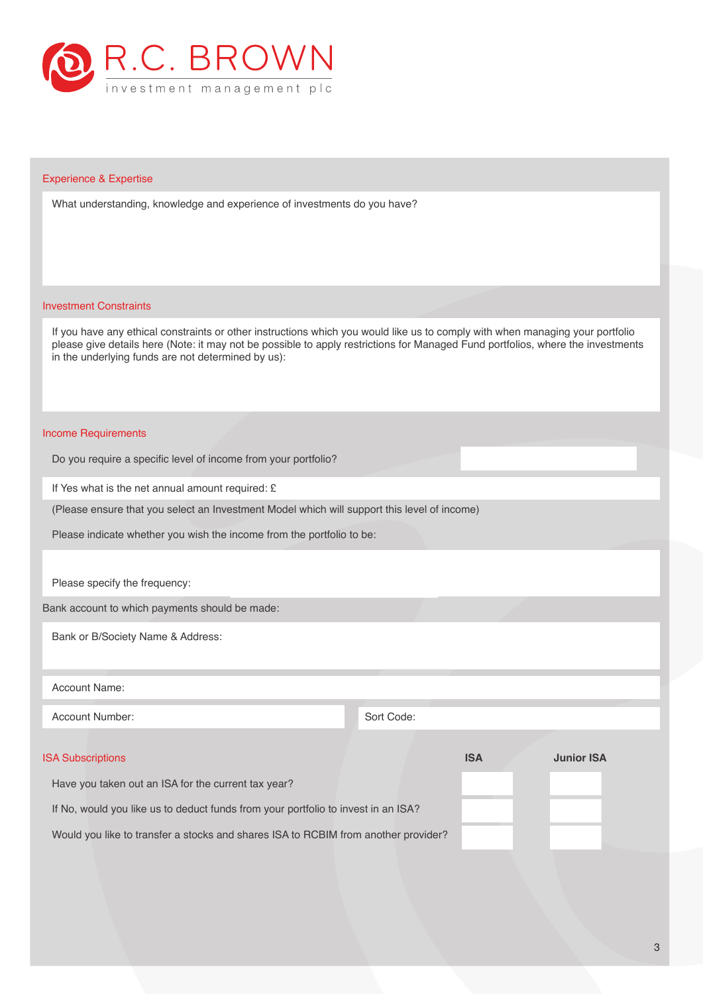

### Experience & Expertise

What understanding, knowledge and experience of investments do you have?

## Investment Constraints

 If you have any ethical constraints or other instructions which you would like us to comply with when managing your portfolio please give details here (Note: it may not be possible to apply restrictions for Managed Fund portfolios, where the investments in the underlying funds are not determined by us):

## Income Requirements

Do you require a specific level of income from your portfolio?

If Yes what is the net annual amount required: £

(Please ensure that you select an Investment Model which will support this level of income)

Please indicate whether you wish the income from the portfolio to be:

Please specify the frequency:

Bank account to which payments should be made:

Bank or B/Society Name & Address:

Account Name:

Account Number: Sort Code:

| <b>ISA Subscriptions</b>                                                           | <b>ISA</b> | <b>Junior ISA</b> |
|------------------------------------------------------------------------------------|------------|-------------------|
| Have you taken out an ISA for the current tax year?                                |            |                   |
| If No, would you like us to deduct funds from your portfolio to invest in an ISA?  |            |                   |
| Would you like to transfer a stocks and shares ISA to RCBIM from another provider? |            |                   |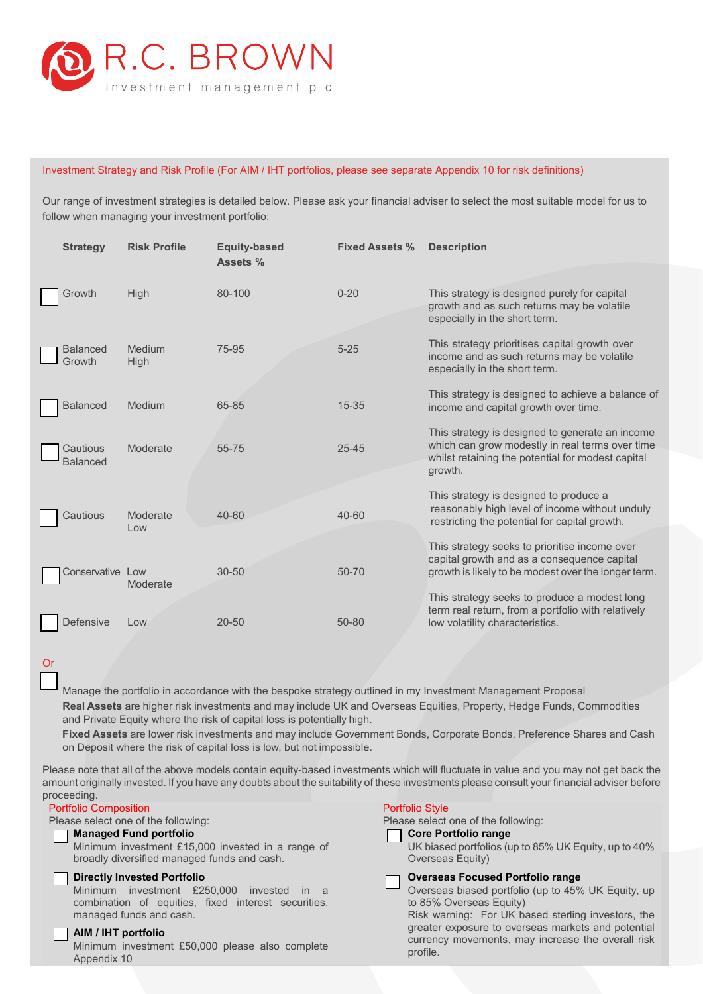

## Investment Strategy and Risk Profile (For AIM / IHT portfolios, please see separate Appendix 10 for risk definitions)

Our range of investment strategies is detailed below. Please ask your financial adviser to select the most suitable model for us to follow when managing your investment portfolio:

| <b>Strategy</b>             | <b>Risk Profile</b>   | <b>Equity-based</b><br>Assets % | <b>Fixed Assets %</b> | <b>Description</b>                                                                                                                                                 |
|-----------------------------|-----------------------|---------------------------------|-----------------------|--------------------------------------------------------------------------------------------------------------------------------------------------------------------|
| Growth                      | High                  | 80-100                          | $0 - 20$              | This strategy is designed purely for capital<br>growth and as such returns may be volatile<br>especially in the short term.                                        |
| <b>Balanced</b><br>Growth   | Medium<br><b>High</b> | 75-95                           | $5 - 25$              | This strategy prioritises capital growth over<br>income and as such returns may be volatile<br>especially in the short term.                                       |
| <b>Balanced</b>             | Medium                | 65-85                           | $15 - 35$             | This strategy is designed to achieve a balance of<br>income and capital growth over time.                                                                          |
| Cautious<br><b>Balanced</b> | Moderate              | 55-75                           | $25 - 45$             | This strategy is designed to generate an income<br>which can grow modestly in real terms over time<br>whilst retaining the potential for modest capital<br>growth. |
| Cautious                    | Moderate<br>l ow      | $40 - 60$                       | 40-60                 | This strategy is designed to produce a<br>reasonably high level of income without unduly<br>restricting the potential for capital growth.                          |
| Conservative Low            | Moderate              | $30 - 50$                       | 50-70                 | This strategy seeks to prioritise income over<br>capital growth and as a consequence capital<br>growth is likely to be modest over the longer term.                |
| Defensive                   | Low                   | $20 - 50$                       | 50-80                 | This strategy seeks to produce a modest long<br>term real return, from a portfolio with relatively<br>low volatility characteristics.                              |

**Or** 

Manage the portfolio in accordance with the bespoke strategy outlined in my Investment Management Proposal **Real Assets** are higher risk investments and may include UK and Overseas Equities, Property, Hedge Funds, Commodities and Private Equity where the risk of capital loss is potentially high.

**Fixed Assets** are lower risk investments and may include Government Bonds, Corporate Bonds, Preference Shares and Cash on Deposit where the risk of capital loss is low, but not impossible.

Please note that all of the above models contain equity-based investments which will fluctuate in value and you may not get back the amount originally invested. If you have any doubts about the suitability of these investments please consult your financial adviser before proceeding.

| <b>Portfolio Composition</b>                                                                                                                                         | <b>Portfolio Style</b>                                                                                                                                                         |
|----------------------------------------------------------------------------------------------------------------------------------------------------------------------|--------------------------------------------------------------------------------------------------------------------------------------------------------------------------------|
| Please select one of the following:<br><b>Managed Fund portfolio</b><br>Minimum investment £15,000 invested in a range of                                            | Please select one of the following:<br><b>Core Portfolio range</b><br>UK biased portfolios (up to 85% UK Equity, up to 40%                                                     |
| broadly diversified managed funds and cash.                                                                                                                          | Overseas Equity)                                                                                                                                                               |
| <b>Directly Invested Portfolio</b><br>Minimum investment £250,000 invested<br>in a<br>combination of equities, fixed interest securities,<br>managed funds and cash. | <b>Overseas Focused Portfolio range</b><br>Overseas biased portfolio (up to 45% UK Equity, up<br>to 85% Overseas Equity)<br>Risk warning: For UK based sterling investors, the |
| AIM / IHT portfolio<br>Minimum investment £50,000 please also complete<br>Appendix 10                                                                                | greater exposure to overseas markets and potential<br>currency movements, may increase the overall risk<br>profile.                                                            |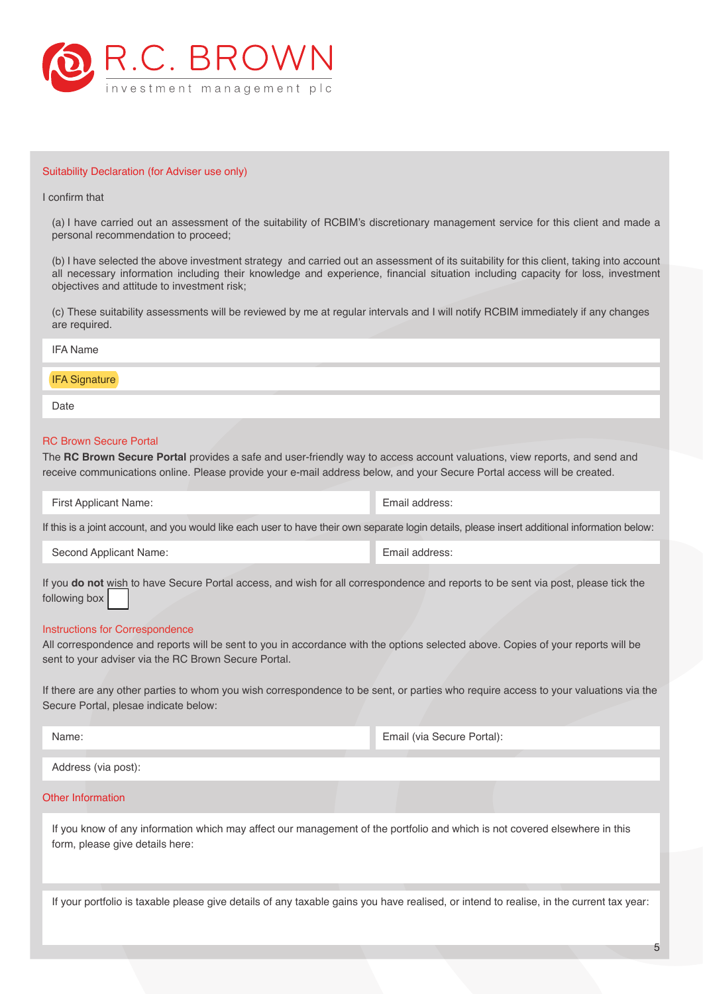

## Suitability Declaration (for Adviser use only)

### I confirm that

(a) I have carried out an assessment of the suitability of RCBIM's discretionary management service for this client and made a personal recommendation to proceed;

(b) I have selected the above investment strategy and carried out an assessment of its suitability for this client, taking into account all necessary information including their knowledge and experience, financial situation including capacity for loss, investment objectives and attitude to investment risk;

(c) These suitability assessments will be reviewed by me at regular intervals and I will notify RCBIM immediately if any changes are required.

| <b>IFA Name</b>               |  |  |
|-------------------------------|--|--|
| <b>IFA Signature</b>          |  |  |
| Date                          |  |  |
| <b>RC Brown Secure Portal</b> |  |  |

The **RC Brown Secure Portal** provides a safe and user-friendly way to access account valuations, view reports, and send and receive communications online. Please provide your e-mail address below, and your Secure Portal access will be created.

| If this is a joint account, and you would like each user to have their own separate login details, please insert additional information below: |  |  |  |
|------------------------------------------------------------------------------------------------------------------------------------------------|--|--|--|

First Applicant Name: Email address:

Second Applicant Name: Email address:

If you do not wish to have Secure Portal access, and wish for all correspondence and reports to be sent via post, please tick the following box

### Instructions for Correspondence

All correspondence and reports will be sent to you in accordance with the options selected above. Copies of your reports will be sent to your adviser via the RC Brown Secure Portal.

If there are any other parties to whom you wish correspondence to be sent, or parties who require access to your valuations via the Secure Portal, please indicate below:

Name: Email (via Secure Portal):

Address (via post):

## Other Information

If you know of any information which may affect our management of the portfolio and which is not covered elsewhere in this form, please give details here:

If your portfolio is taxable please give details of any taxable gains you have realised, or intend to realise, in the current tax year: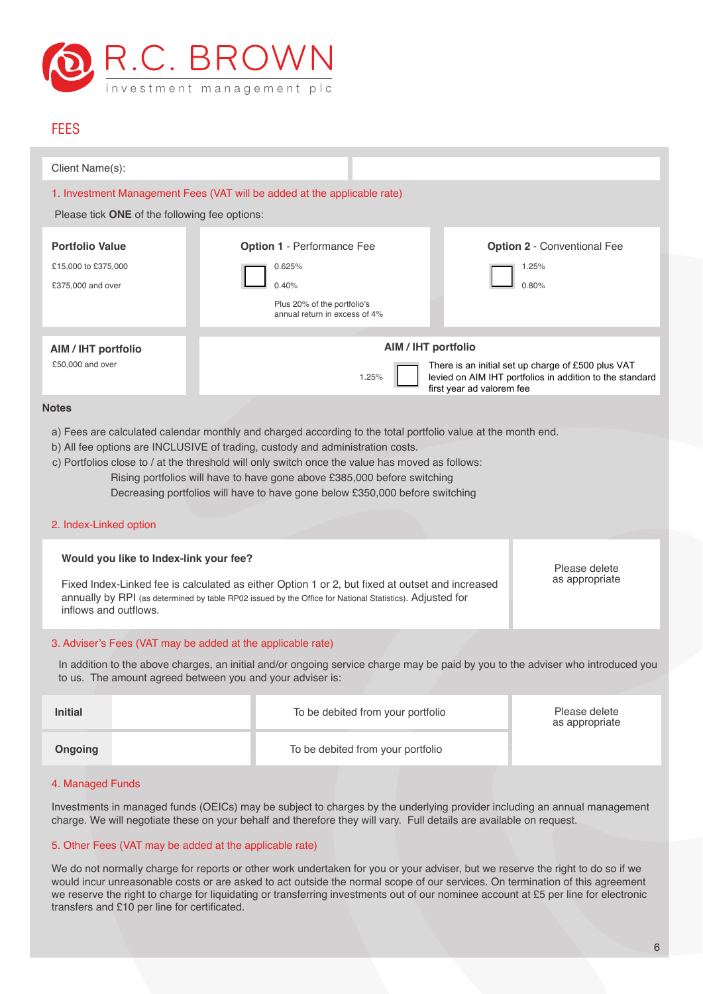

# **FEES**

| Client Name(s):                                                                                                                                                                                                                                                                                                                                                                                                                                                                         |                                                                                                                      |                                                                                                                                             |  |  |
|-----------------------------------------------------------------------------------------------------------------------------------------------------------------------------------------------------------------------------------------------------------------------------------------------------------------------------------------------------------------------------------------------------------------------------------------------------------------------------------------|----------------------------------------------------------------------------------------------------------------------|---------------------------------------------------------------------------------------------------------------------------------------------|--|--|
|                                                                                                                                                                                                                                                                                                                                                                                                                                                                                         | 1. Investment Management Fees (VAT will be added at the applicable rate)                                             |                                                                                                                                             |  |  |
| Please tick ONE of the following fee options:                                                                                                                                                                                                                                                                                                                                                                                                                                           |                                                                                                                      |                                                                                                                                             |  |  |
| <b>Portfolio Value</b><br>£15,000 to £375,000<br>£375,000 and over                                                                                                                                                                                                                                                                                                                                                                                                                      | <b>Option 1 - Performance Fee</b><br>0.625%<br>0.40%<br>Plus 20% of the portfolio's<br>annual return in excess of 4% | <b>Option 2 - Conventional Fee</b><br>1.25%<br>0.80%                                                                                        |  |  |
| AIM / IHT portfolio                                                                                                                                                                                                                                                                                                                                                                                                                                                                     | AIM / IHT portfolio                                                                                                  |                                                                                                                                             |  |  |
| £50,000 and over                                                                                                                                                                                                                                                                                                                                                                                                                                                                        | 1.25%                                                                                                                | There is an initial set up charge of £500 plus VAT<br>levied on AIM IHT portfolios in addition to the standard<br>first year ad valorem fee |  |  |
| <b>Notes</b>                                                                                                                                                                                                                                                                                                                                                                                                                                                                            |                                                                                                                      |                                                                                                                                             |  |  |
| a) Fees are calculated calendar monthly and charged according to the total portfolio value at the month end.<br>b) All fee options are INCLUSIVE of trading, custody and administration costs.<br>c) Portfolios close to / at the threshold will only switch once the value has moved as follows:<br>Rising portfolios will have to have gone above £385,000 before switching<br>Decreasing portfolios will have to have gone below £350,000 before switching<br>2. Index-Linked option |                                                                                                                      |                                                                                                                                             |  |  |
| Would you like to Index-link your fee?<br>Please delete<br>as appropriate<br>Fixed Index-Linked fee is calculated as either Option 1 or 2, but fixed at outset and increased<br>annually by RPI (as determined by table RP02 issued by the Office for National Statistics). Adjusted for<br>inflows and outflows.                                                                                                                                                                       |                                                                                                                      |                                                                                                                                             |  |  |
| 3. Adviser's Fees (VAT may be added at the applicable rate)                                                                                                                                                                                                                                                                                                                                                                                                                             |                                                                                                                      |                                                                                                                                             |  |  |
| In addition to the above charges, an initial and/or ongoing service charge may be paid by you to the adviser who introduced you<br>to us. The amount agreed between you and your adviser is:                                                                                                                                                                                                                                                                                            |                                                                                                                      |                                                                                                                                             |  |  |
| <b>Initial</b>                                                                                                                                                                                                                                                                                                                                                                                                                                                                          | To be debited from your portfolio                                                                                    | Please delete<br>as appropriate                                                                                                             |  |  |
| Ongoing                                                                                                                                                                                                                                                                                                                                                                                                                                                                                 | To be debited from your portfolio                                                                                    |                                                                                                                                             |  |  |

# 4. Managed Funds

Investments in managed funds (OEICs) may be subject to charges by the underlying provider including an annual management charge. We will negotiate these on your behalf and therefore they will vary. Full details are available on request.

## 5. Other Fees (VAT may be added at the applicable rate)

We do not normally charge for reports or other work undertaken for you or your adviser, but we reserve the right to do so if we would incur unreasonable costs or are asked to act outside the normal scope of our services. On termination of this agreement we reserve the right to charge for liquidating or transferring investments out of our nominee account at £5 per line for electronic transfers and £10 per line for certificated.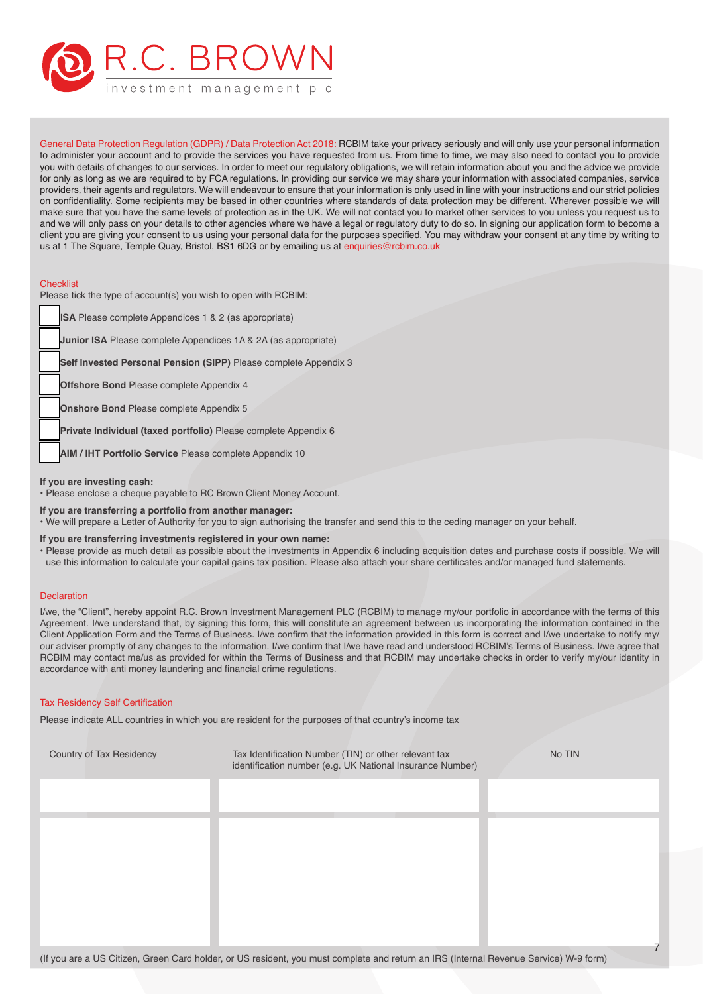

General Data Protection Regulation (GDPR) / Data Protection Act 2018: RCBIM take your privacy seriously and will only use your personal information to administer your account and to provide the services you have requested from us. From time to time, we may also need to contact you to provide you with details of changes to our services. In order to meet our regulatory obligations, we will retain information about you and the advice we provide for only as long as we are required to by FCA regulations. In providing our service we may share your information with associated companies, service providers, their agents and regulators. We will endeavour to ensure that your information is only used in line with your instructions and our strict policies on confidentiality. Some recipients may be based in other countries where standards of data protection may be different. Wherever possible we will make sure that you have the same levels of protection as in the UK. We will not contact you to market other services to you unless you request us to and we will only pass on your details to other agencies where we have a legal or regulatory duty to do so. In signing our application form to become a client you are giving your consent to us using your personal data for the purposes specified. You may withdraw your consent at any time by writing to us at 1 The Square, Temple Quay, Bristol, BS1 6DG or by emailing us at enquiries@rcbim.co.uk

### **Checklist**

Please tick the type of account(s) you wish to open with RCBIM: I**SA** Please complete Appendices 1 & 2 (as appropriate) **Junior ISA** Please complete Appendices 1A & 2A (as appropriate) **Self Invested Personal Pension (SIPP)** Please complete Appendix 3 **Offshore Bond** Please complete Appendix 4 **Onshore Bond** Please complete Appendix 5 **Private Individual (taxed portfolio)** Please complete Appendix 6 **AIM / IHT Portfolio Service** Please complete Appendix 10

### **If you are investing cash:**

• Please enclose a cheque payable to RC Brown Client Money Account.

### **If you are transferring a portfolio from another manager:**

• We will prepare a Letter of Authority for you to sign authorising the transfer and send this to the ceding manager on your behalf.

#### **If you are transferring investments registered in your own name:**

• Please provide as much detail as possible about the investments in Appendix 6 including acquisition dates and purchase costs if possible. We will use this information to calculate your capital gains tax position. Please also attach your share certificates and/or managed fund statements.

#### **Declaration**

I/we, the "Client", hereby appoint R.C. Brown Investment Management PLC (RCBIM) to manage my/our portfolio in accordance with the terms of this Agreement. I/we understand that, by signing this form, this will constitute an agreement between us incorporating the information contained in the Client Application Form and the Terms of Business. I/we confirm that the information provided in this form is correct and I/we undertake to notify my/ our adviser promptly of any changes to the information. I/we confirm that I/we have read and understood RCBIM's Terms of Business. I/we agree that RCBIM may contact me/us as provided for within the Terms of Business and that RCBIM may undertake checks in order to verify my/our identity in accordance with anti money laundering and financial crime regulations.

### Tax Residency Self Certification

Please indicate ALL countries in which you are resident for the purposes of that country's income tax

| Country of Tax Residency | Tax Identification Number (TIN) or other relevant tax<br>identification number (e.g. UK National Insurance Number) |  | No TIN |  |
|--------------------------|--------------------------------------------------------------------------------------------------------------------|--|--------|--|
|                          |                                                                                                                    |  |        |  |
|                          |                                                                                                                    |  |        |  |
|                          |                                                                                                                    |  |        |  |
|                          |                                                                                                                    |  |        |  |
|                          |                                                                                                                    |  |        |  |